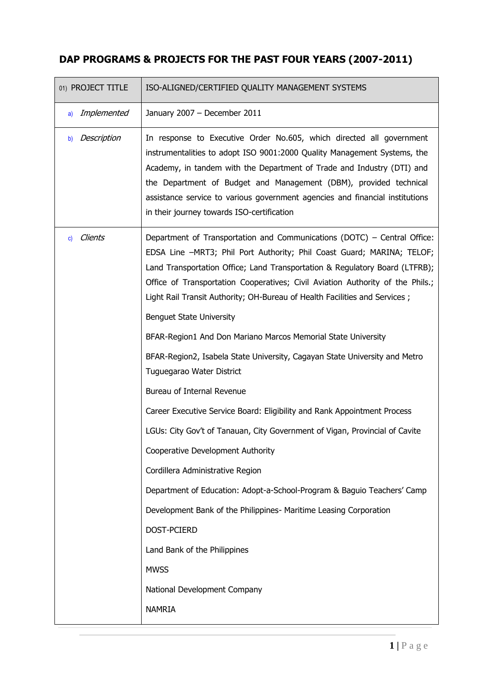| 01) PROJECT TITLE    | ISO-ALIGNED/CERTIFIED QUALITY MANAGEMENT SYSTEMS                                                                                                                                                                                                                                                                                                                                                                              |
|----------------------|-------------------------------------------------------------------------------------------------------------------------------------------------------------------------------------------------------------------------------------------------------------------------------------------------------------------------------------------------------------------------------------------------------------------------------|
| Implemented<br>a)    | January 2007 - December 2011                                                                                                                                                                                                                                                                                                                                                                                                  |
| Description<br>b)    | In response to Executive Order No.605, which directed all government<br>instrumentalities to adopt ISO 9001:2000 Quality Management Systems, the<br>Academy, in tandem with the Department of Trade and Industry (DTI) and<br>the Department of Budget and Management (DBM), provided technical<br>assistance service to various government agencies and financial institutions<br>in their journey towards ISO-certification |
| <b>Clients</b><br>c) | Department of Transportation and Communications (DOTC) - Central Office:<br>EDSA Line -MRT3; Phil Port Authority; Phil Coast Guard; MARINA; TELOF;<br>Land Transportation Office; Land Transportation & Regulatory Board (LTFRB);<br>Office of Transportation Cooperatives; Civil Aviation Authority of the Phils.;<br>Light Rail Transit Authority; OH-Bureau of Health Facilities and Services;                             |
|                      | <b>Benguet State University</b>                                                                                                                                                                                                                                                                                                                                                                                               |
|                      | BFAR-Region1 And Don Mariano Marcos Memorial State University                                                                                                                                                                                                                                                                                                                                                                 |
|                      | BFAR-Region2, Isabela State University, Cagayan State University and Metro<br>Tuguegarao Water District                                                                                                                                                                                                                                                                                                                       |
|                      | Bureau of Internal Revenue                                                                                                                                                                                                                                                                                                                                                                                                    |
|                      | Career Executive Service Board: Eligibility and Rank Appointment Process                                                                                                                                                                                                                                                                                                                                                      |
|                      | LGUs: City Gov't of Tanauan, City Government of Vigan, Provincial of Cavite                                                                                                                                                                                                                                                                                                                                                   |
|                      | Cooperative Development Authority                                                                                                                                                                                                                                                                                                                                                                                             |
|                      | Cordillera Administrative Region                                                                                                                                                                                                                                                                                                                                                                                              |
|                      | Department of Education: Adopt-a-School-Program & Baguio Teachers' Camp                                                                                                                                                                                                                                                                                                                                                       |
|                      | Development Bank of the Philippines- Maritime Leasing Corporation                                                                                                                                                                                                                                                                                                                                                             |
|                      | DOST-PCIERD                                                                                                                                                                                                                                                                                                                                                                                                                   |
|                      | Land Bank of the Philippines                                                                                                                                                                                                                                                                                                                                                                                                  |
|                      | <b>MWSS</b>                                                                                                                                                                                                                                                                                                                                                                                                                   |
|                      | National Development Company                                                                                                                                                                                                                                                                                                                                                                                                  |
|                      | <b>NAMRIA</b>                                                                                                                                                                                                                                                                                                                                                                                                                 |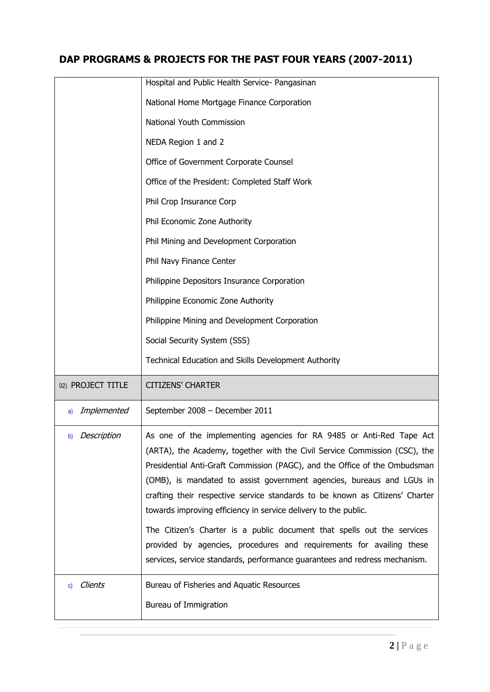|                   | Hospital and Public Health Service- Pangasinan                                                                                                                                                                                                                                                                                                                                                                                                               |
|-------------------|--------------------------------------------------------------------------------------------------------------------------------------------------------------------------------------------------------------------------------------------------------------------------------------------------------------------------------------------------------------------------------------------------------------------------------------------------------------|
|                   | National Home Mortgage Finance Corporation                                                                                                                                                                                                                                                                                                                                                                                                                   |
|                   | National Youth Commission                                                                                                                                                                                                                                                                                                                                                                                                                                    |
|                   | NEDA Region 1 and 2                                                                                                                                                                                                                                                                                                                                                                                                                                          |
|                   | Office of Government Corporate Counsel                                                                                                                                                                                                                                                                                                                                                                                                                       |
|                   | Office of the President: Completed Staff Work                                                                                                                                                                                                                                                                                                                                                                                                                |
|                   | Phil Crop Insurance Corp                                                                                                                                                                                                                                                                                                                                                                                                                                     |
|                   | Phil Economic Zone Authority                                                                                                                                                                                                                                                                                                                                                                                                                                 |
|                   | Phil Mining and Development Corporation                                                                                                                                                                                                                                                                                                                                                                                                                      |
|                   | Phil Navy Finance Center                                                                                                                                                                                                                                                                                                                                                                                                                                     |
|                   | Philippine Depositors Insurance Corporation                                                                                                                                                                                                                                                                                                                                                                                                                  |
|                   | Philippine Economic Zone Authority                                                                                                                                                                                                                                                                                                                                                                                                                           |
|                   | Philippine Mining and Development Corporation                                                                                                                                                                                                                                                                                                                                                                                                                |
|                   | Social Security System (SSS)                                                                                                                                                                                                                                                                                                                                                                                                                                 |
|                   | Technical Education and Skills Development Authority                                                                                                                                                                                                                                                                                                                                                                                                         |
| 02) PROJECT TITLE | <b>CITIZENS' CHARTER</b>                                                                                                                                                                                                                                                                                                                                                                                                                                     |
| Implemented<br>a) | September 2008 - December 2011                                                                                                                                                                                                                                                                                                                                                                                                                               |
| b) Description    | As one of the implementing agencies for RA 9485 or Anti-Red Tape Act<br>(ARTA), the Academy, together with the Civil Service Commission (CSC), the<br>Presidential Anti-Graft Commission (PAGC), and the Office of the Ombudsman<br>(OMB), is mandated to assist government agencies, bureaus and LGUs in<br>crafting their respective service standards to be known as Citizens' Charter<br>towards improving efficiency in service delivery to the public. |
|                   | The Citizen's Charter is a public document that spells out the services<br>provided by agencies, procedures and requirements for availing these<br>services, service standards, performance guarantees and redress mechanism.                                                                                                                                                                                                                                |
| Clients<br>C)     | Bureau of Fisheries and Aquatic Resources<br>Bureau of Immigration                                                                                                                                                                                                                                                                                                                                                                                           |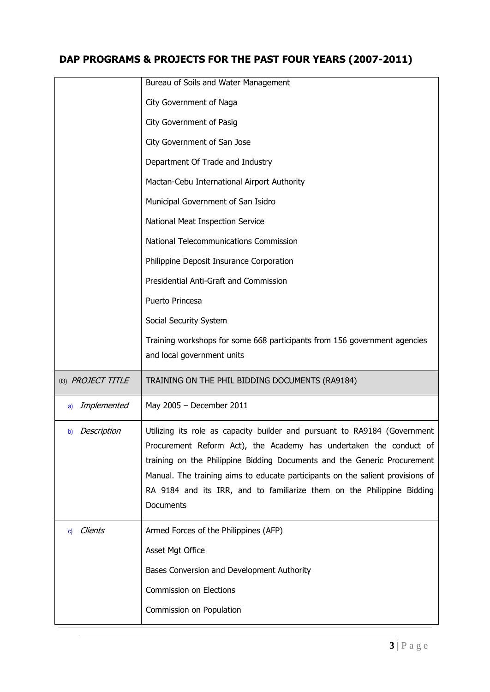|                   | Bureau of Soils and Water Management                                                                                                                                                                                                                                                                                                                                                                 |
|-------------------|------------------------------------------------------------------------------------------------------------------------------------------------------------------------------------------------------------------------------------------------------------------------------------------------------------------------------------------------------------------------------------------------------|
|                   | City Government of Naga                                                                                                                                                                                                                                                                                                                                                                              |
|                   | City Government of Pasig                                                                                                                                                                                                                                                                                                                                                                             |
|                   | City Government of San Jose                                                                                                                                                                                                                                                                                                                                                                          |
|                   | Department Of Trade and Industry                                                                                                                                                                                                                                                                                                                                                                     |
|                   | Mactan-Cebu International Airport Authority                                                                                                                                                                                                                                                                                                                                                          |
|                   | Municipal Government of San Isidro                                                                                                                                                                                                                                                                                                                                                                   |
|                   | National Meat Inspection Service                                                                                                                                                                                                                                                                                                                                                                     |
|                   | National Telecommunications Commission                                                                                                                                                                                                                                                                                                                                                               |
|                   | Philippine Deposit Insurance Corporation                                                                                                                                                                                                                                                                                                                                                             |
|                   | Presidential Anti-Graft and Commission                                                                                                                                                                                                                                                                                                                                                               |
|                   | Puerto Princesa                                                                                                                                                                                                                                                                                                                                                                                      |
|                   | Social Security System                                                                                                                                                                                                                                                                                                                                                                               |
|                   | Training workshops for some 668 participants from 156 government agencies                                                                                                                                                                                                                                                                                                                            |
|                   | and local government units                                                                                                                                                                                                                                                                                                                                                                           |
|                   |                                                                                                                                                                                                                                                                                                                                                                                                      |
| 03) PROJECT TITLE | TRAINING ON THE PHIL BIDDING DOCUMENTS (RA9184)                                                                                                                                                                                                                                                                                                                                                      |
| Implemented<br>a) | May 2005 - December 2011                                                                                                                                                                                                                                                                                                                                                                             |
| Description<br>b) | Utilizing its role as capacity builder and pursuant to RA9184 (Government<br>Procurement Reform Act), the Academy has undertaken the conduct of<br>training on the Philippine Bidding Documents and the Generic Procurement<br>Manual. The training aims to educate participants on the salient provisions of<br>RA 9184 and its IRR, and to familiarize them on the Philippine Bidding<br>Documents |
| Clients<br>C)     | Armed Forces of the Philippines (AFP)                                                                                                                                                                                                                                                                                                                                                                |
|                   | Asset Mgt Office                                                                                                                                                                                                                                                                                                                                                                                     |
|                   | Bases Conversion and Development Authority                                                                                                                                                                                                                                                                                                                                                           |
|                   | Commission on Elections                                                                                                                                                                                                                                                                                                                                                                              |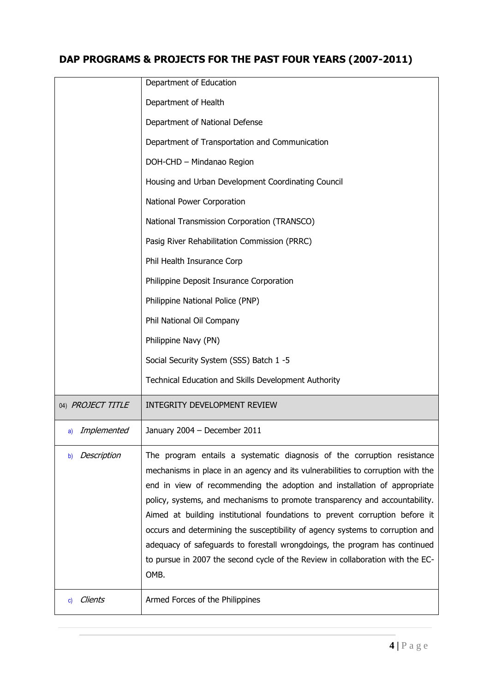|                         | Department of Education                                                                                                                                                                                                                                                                                                                                                                                                                                                                                                                                                                                                                                       |
|-------------------------|---------------------------------------------------------------------------------------------------------------------------------------------------------------------------------------------------------------------------------------------------------------------------------------------------------------------------------------------------------------------------------------------------------------------------------------------------------------------------------------------------------------------------------------------------------------------------------------------------------------------------------------------------------------|
|                         | Department of Health                                                                                                                                                                                                                                                                                                                                                                                                                                                                                                                                                                                                                                          |
|                         | Department of National Defense                                                                                                                                                                                                                                                                                                                                                                                                                                                                                                                                                                                                                                |
|                         | Department of Transportation and Communication                                                                                                                                                                                                                                                                                                                                                                                                                                                                                                                                                                                                                |
|                         | DOH-CHD - Mindanao Region                                                                                                                                                                                                                                                                                                                                                                                                                                                                                                                                                                                                                                     |
|                         | Housing and Urban Development Coordinating Council                                                                                                                                                                                                                                                                                                                                                                                                                                                                                                                                                                                                            |
|                         | National Power Corporation                                                                                                                                                                                                                                                                                                                                                                                                                                                                                                                                                                                                                                    |
|                         | National Transmission Corporation (TRANSCO)                                                                                                                                                                                                                                                                                                                                                                                                                                                                                                                                                                                                                   |
|                         | Pasig River Rehabilitation Commission (PRRC)                                                                                                                                                                                                                                                                                                                                                                                                                                                                                                                                                                                                                  |
|                         | Phil Health Insurance Corp                                                                                                                                                                                                                                                                                                                                                                                                                                                                                                                                                                                                                                    |
|                         | Philippine Deposit Insurance Corporation                                                                                                                                                                                                                                                                                                                                                                                                                                                                                                                                                                                                                      |
|                         | Philippine National Police (PNP)                                                                                                                                                                                                                                                                                                                                                                                                                                                                                                                                                                                                                              |
|                         | Phil National Oil Company                                                                                                                                                                                                                                                                                                                                                                                                                                                                                                                                                                                                                                     |
|                         | Philippine Navy (PN)                                                                                                                                                                                                                                                                                                                                                                                                                                                                                                                                                                                                                                          |
|                         | Social Security System (SSS) Batch 1 -5                                                                                                                                                                                                                                                                                                                                                                                                                                                                                                                                                                                                                       |
|                         | Technical Education and Skills Development Authority                                                                                                                                                                                                                                                                                                                                                                                                                                                                                                                                                                                                          |
| 04) PROJECT TITLE       | INTEGRITY DEVELOPMENT REVIEW                                                                                                                                                                                                                                                                                                                                                                                                                                                                                                                                                                                                                                  |
| Implemented<br>a)       | January 2004 - December 2011                                                                                                                                                                                                                                                                                                                                                                                                                                                                                                                                                                                                                                  |
| Description<br>b)       | The program entails a systematic diagnosis of the corruption resistance<br>mechanisms in place in an agency and its vulnerabilities to corruption with the<br>end in view of recommending the adoption and installation of appropriate<br>policy, systems, and mechanisms to promote transparency and accountability.<br>Aimed at building institutional foundations to prevent corruption before it<br>occurs and determining the susceptibility of agency systems to corruption and<br>adequacy of safeguards to forestall wrongdoings, the program has continued<br>to pursue in 2007 the second cycle of the Review in collaboration with the EC-<br>OMB. |
| Clients<br>$\mathsf{c}$ | Armed Forces of the Philippines                                                                                                                                                                                                                                                                                                                                                                                                                                                                                                                                                                                                                               |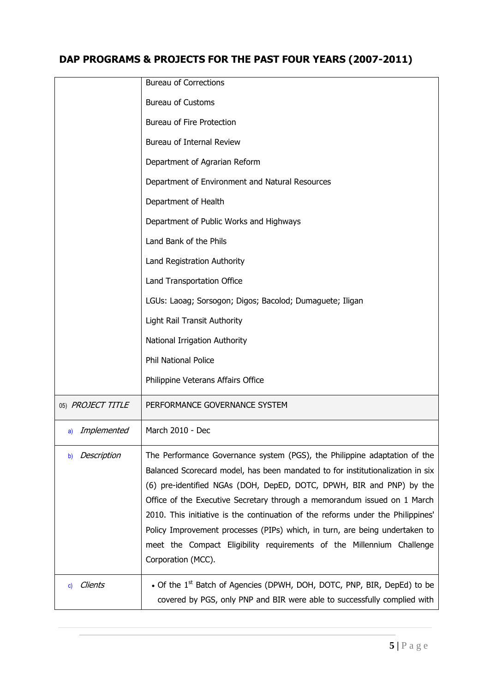|                   | <b>Bureau of Corrections</b>                                                                                                                                                                                                                                                                                                                                                                                                                                                                                                                                                     |
|-------------------|----------------------------------------------------------------------------------------------------------------------------------------------------------------------------------------------------------------------------------------------------------------------------------------------------------------------------------------------------------------------------------------------------------------------------------------------------------------------------------------------------------------------------------------------------------------------------------|
|                   | <b>Bureau of Customs</b>                                                                                                                                                                                                                                                                                                                                                                                                                                                                                                                                                         |
|                   | <b>Bureau of Fire Protection</b>                                                                                                                                                                                                                                                                                                                                                                                                                                                                                                                                                 |
|                   | Bureau of Internal Review                                                                                                                                                                                                                                                                                                                                                                                                                                                                                                                                                        |
|                   | Department of Agrarian Reform                                                                                                                                                                                                                                                                                                                                                                                                                                                                                                                                                    |
|                   | Department of Environment and Natural Resources                                                                                                                                                                                                                                                                                                                                                                                                                                                                                                                                  |
|                   | Department of Health                                                                                                                                                                                                                                                                                                                                                                                                                                                                                                                                                             |
|                   | Department of Public Works and Highways                                                                                                                                                                                                                                                                                                                                                                                                                                                                                                                                          |
|                   | Land Bank of the Phils                                                                                                                                                                                                                                                                                                                                                                                                                                                                                                                                                           |
|                   | Land Registration Authority                                                                                                                                                                                                                                                                                                                                                                                                                                                                                                                                                      |
|                   | Land Transportation Office                                                                                                                                                                                                                                                                                                                                                                                                                                                                                                                                                       |
|                   | LGUs: Laoag; Sorsogon; Digos; Bacolod; Dumaguete; Iligan                                                                                                                                                                                                                                                                                                                                                                                                                                                                                                                         |
|                   | <b>Light Rail Transit Authority</b>                                                                                                                                                                                                                                                                                                                                                                                                                                                                                                                                              |
|                   | National Irrigation Authority                                                                                                                                                                                                                                                                                                                                                                                                                                                                                                                                                    |
|                   | <b>Phil National Police</b>                                                                                                                                                                                                                                                                                                                                                                                                                                                                                                                                                      |
|                   | Philippine Veterans Affairs Office                                                                                                                                                                                                                                                                                                                                                                                                                                                                                                                                               |
| 05) PROJECT TITLE | PERFORMANCE GOVERNANCE SYSTEM                                                                                                                                                                                                                                                                                                                                                                                                                                                                                                                                                    |
| Implemented<br>a) | March 2010 - Dec                                                                                                                                                                                                                                                                                                                                                                                                                                                                                                                                                                 |
| Description<br>b) | The Performance Governance system (PGS), the Philippine adaptation of the<br>Balanced Scorecard model, has been mandated to for institutionalization in six<br>(6) pre-identified NGAs (DOH, DepED, DOTC, DPWH, BIR and PNP) by the<br>Office of the Executive Secretary through a memorandum issued on 1 March<br>2010. This initiative is the continuation of the reforms under the Philippines'<br>Policy Improvement processes (PIPs) which, in turn, are being undertaken to<br>meet the Compact Eligibility requirements of the Millennium Challenge<br>Corporation (MCC). |
| Clients<br>C)     | • Of the 1 <sup>st</sup> Batch of Agencies (DPWH, DOH, DOTC, PNP, BIR, DepEd) to be<br>covered by PGS, only PNP and BIR were able to successfully complied with                                                                                                                                                                                                                                                                                                                                                                                                                  |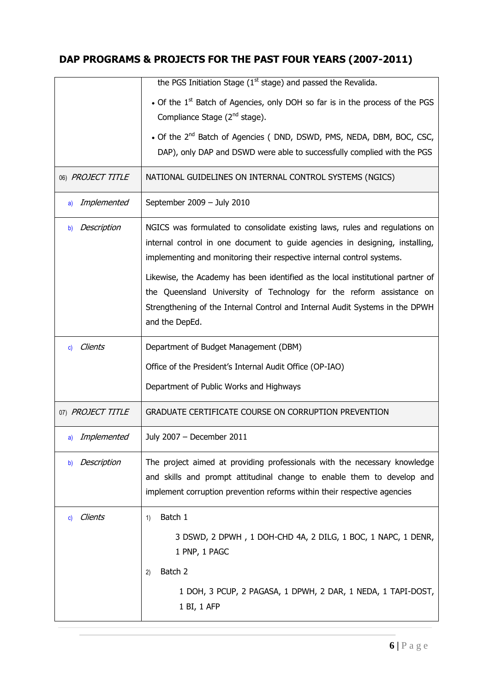|                   | the PGS Initiation Stage $(1st stage)$ and passed the Revalida.                                                                                                                                                                                           |
|-------------------|-----------------------------------------------------------------------------------------------------------------------------------------------------------------------------------------------------------------------------------------------------------|
|                   | • Of the 1 <sup>st</sup> Batch of Agencies, only DOH so far is in the process of the PGS<br>Compliance Stage (2 <sup>nd</sup> stage).                                                                                                                     |
|                   | • Of the 2 <sup>nd</sup> Batch of Agencies ( DND, DSWD, PMS, NEDA, DBM, BOC, CSC,<br>DAP), only DAP and DSWD were able to successfully complied with the PGS                                                                                              |
| 06) PROJECT TITLE | NATIONAL GUIDELINES ON INTERNAL CONTROL SYSTEMS (NGICS)                                                                                                                                                                                                   |
| Implemented<br>a) | September 2009 - July 2010                                                                                                                                                                                                                                |
| Description<br>b) | NGICS was formulated to consolidate existing laws, rules and regulations on<br>internal control in one document to guide agencies in designing, installing,<br>implementing and monitoring their respective internal control systems.                     |
|                   | Likewise, the Academy has been identified as the local institutional partner of<br>the Queensland University of Technology for the reform assistance on<br>Strengthening of the Internal Control and Internal Audit Systems in the DPWH<br>and the DepEd. |
| Clients<br>C)     | Department of Budget Management (DBM)                                                                                                                                                                                                                     |
|                   | Office of the President's Internal Audit Office (OP-IAO)                                                                                                                                                                                                  |
|                   | Department of Public Works and Highways                                                                                                                                                                                                                   |
| 07) PROJECT TITLE | GRADUATE CERTIFICATE COURSE ON CORRUPTION PREVENTION                                                                                                                                                                                                      |
| Implemented<br>a) | July 2007 - December 2011                                                                                                                                                                                                                                 |
| Description<br>b) | The project aimed at providing professionals with the necessary knowledge<br>and skills and prompt attitudinal change to enable them to develop and<br>implement corruption prevention reforms within their respective agencies                           |
| Clients<br>C)     | Batch 1<br>1)                                                                                                                                                                                                                                             |
|                   | 3 DSWD, 2 DPWH, 1 DOH-CHD 4A, 2 DILG, 1 BOC, 1 NAPC, 1 DENR,<br>1 PNP, 1 PAGC                                                                                                                                                                             |
|                   | Batch 2<br>2)                                                                                                                                                                                                                                             |
|                   | 1 DOH, 3 PCUP, 2 PAGASA, 1 DPWH, 2 DAR, 1 NEDA, 1 TAPI-DOST,<br>1 BI, 1 AFP                                                                                                                                                                               |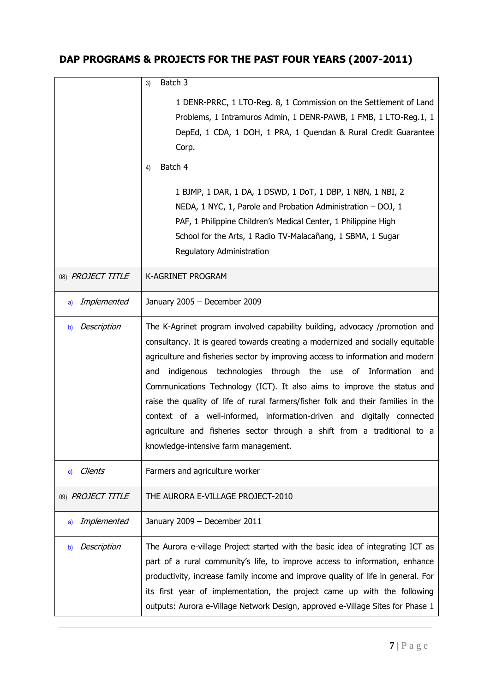|                   | Batch 3<br>3)                                                                                                                                                                                                                                                                                                                                                                                                                                                                                                                                                                                                                                                                        |
|-------------------|--------------------------------------------------------------------------------------------------------------------------------------------------------------------------------------------------------------------------------------------------------------------------------------------------------------------------------------------------------------------------------------------------------------------------------------------------------------------------------------------------------------------------------------------------------------------------------------------------------------------------------------------------------------------------------------|
|                   | 1 DENR-PRRC, 1 LTO-Reg. 8, 1 Commission on the Settlement of Land<br>Problems, 1 Intramuros Admin, 1 DENR-PAWB, 1 FMB, 1 LTO-Reg.1, 1<br>DepEd, 1 CDA, 1 DOH, 1 PRA, 1 Quendan & Rural Credit Guarantee<br>Corp.<br>Batch 4<br>4)<br>1 BJMP, 1 DAR, 1 DA, 1 DSWD, 1 DoT, 1 DBP, 1 NBN, 1 NBI, 2<br>NEDA, 1 NYC, 1, Parole and Probation Administration – DOJ, 1<br>PAF, 1 Philippine Children's Medical Center, 1 Philippine High<br>School for the Arts, 1 Radio TV-Malacañang, 1 SBMA, 1 Sugar<br>Regulatory Administration                                                                                                                                                        |
| 08) PROJECT TITLE | K-AGRINET PROGRAM                                                                                                                                                                                                                                                                                                                                                                                                                                                                                                                                                                                                                                                                    |
| Implemented<br>a) | January 2005 - December 2009                                                                                                                                                                                                                                                                                                                                                                                                                                                                                                                                                                                                                                                         |
| Description<br>b) | The K-Agrinet program involved capability building, advocacy /promotion and<br>consultancy. It is geared towards creating a modernized and socially equitable<br>agriculture and fisheries sector by improving access to information and modern<br>indigenous technologies through the use of Information<br>and<br>and<br>Communications Technology (ICT). It also aims to improve the status and<br>raise the quality of life of rural farmers/fisher folk and their families in the<br>context of a well-informed, information-driven and digitally connected<br>agriculture and fisheries sector through a shift from a traditional to a<br>knowledge-intensive farm management. |
| Clients<br>C)     | Farmers and agriculture worker                                                                                                                                                                                                                                                                                                                                                                                                                                                                                                                                                                                                                                                       |
| 09) PROJECT TITLE | THE AURORA E-VILLAGE PROJECT-2010                                                                                                                                                                                                                                                                                                                                                                                                                                                                                                                                                                                                                                                    |
| Implemented<br>a) | January 2009 - December 2011                                                                                                                                                                                                                                                                                                                                                                                                                                                                                                                                                                                                                                                         |
| Description<br>b) | The Aurora e-village Project started with the basic idea of integrating ICT as<br>part of a rural community's life, to improve access to information, enhance<br>productivity, increase family income and improve quality of life in general. For<br>its first year of implementation, the project came up with the following<br>outputs: Aurora e-Village Network Design, approved e-Village Sites for Phase 1                                                                                                                                                                                                                                                                      |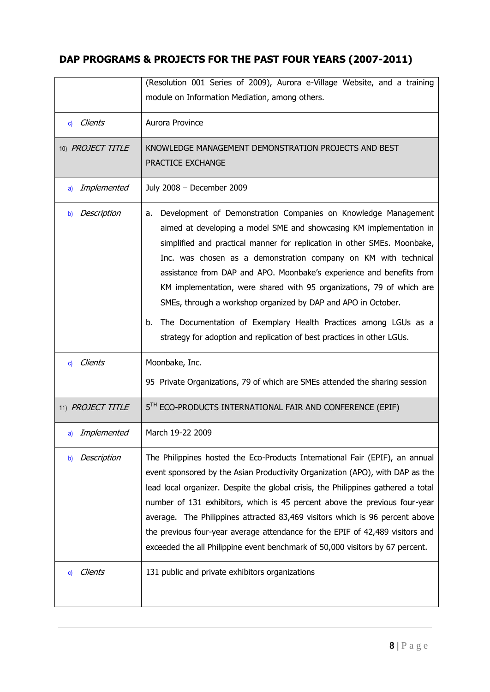|                         | (Resolution 001 Series of 2009), Aurora e-Village Website, and a training<br>module on Information Mediation, among others.                                                                                                                                                                                                                                                                                                                                                                                                                                                                                                                                     |
|-------------------------|-----------------------------------------------------------------------------------------------------------------------------------------------------------------------------------------------------------------------------------------------------------------------------------------------------------------------------------------------------------------------------------------------------------------------------------------------------------------------------------------------------------------------------------------------------------------------------------------------------------------------------------------------------------------|
| <b>Clients</b><br>c)    | Aurora Province                                                                                                                                                                                                                                                                                                                                                                                                                                                                                                                                                                                                                                                 |
| 10) PROJECT TITLE       | KNOWLEDGE MANAGEMENT DEMONSTRATION PROJECTS AND BEST<br>PRACTICE EXCHANGE                                                                                                                                                                                                                                                                                                                                                                                                                                                                                                                                                                                       |
| Implemented<br>a)       | July 2008 - December 2009                                                                                                                                                                                                                                                                                                                                                                                                                                                                                                                                                                                                                                       |
| Description<br>b)       | Development of Demonstration Companies on Knowledge Management<br>a.<br>aimed at developing a model SME and showcasing KM implementation in<br>simplified and practical manner for replication in other SMEs. Moonbake,<br>Inc. was chosen as a demonstration company on KM with technical<br>assistance from DAP and APO. Moonbake's experience and benefits from<br>KM implementation, were shared with 95 organizations, 79 of which are<br>SMEs, through a workshop organized by DAP and APO in October.<br>The Documentation of Exemplary Health Practices among LGUs as a<br>b.<br>strategy for adoption and replication of best practices in other LGUs. |
| Clients<br>$\mathbf{c}$ | Moonbake, Inc.<br>95 Private Organizations, 79 of which are SMEs attended the sharing session                                                                                                                                                                                                                                                                                                                                                                                                                                                                                                                                                                   |
| 11) PROJECT TITLE       | 5TH ECO-PRODUCTS INTERNATIONAL FAIR AND CONFERENCE (EPIF)                                                                                                                                                                                                                                                                                                                                                                                                                                                                                                                                                                                                       |
| Implemented<br>a)       | March 19-22 2009                                                                                                                                                                                                                                                                                                                                                                                                                                                                                                                                                                                                                                                |
| Description<br>b)       | The Philippines hosted the Eco-Products International Fair (EPIF), an annual<br>event sponsored by the Asian Productivity Organization (APO), with DAP as the<br>lead local organizer. Despite the global crisis, the Philippines gathered a total<br>number of 131 exhibitors, which is 45 percent above the previous four-year<br>average. The Philippines attracted 83,469 visitors which is 96 percent above<br>the previous four-year average attendance for the EPIF of 42,489 visitors and<br>exceeded the all Philippine event benchmark of 50,000 visitors by 67 percent.                                                                              |
| Clients<br>C)           | 131 public and private exhibitors organizations                                                                                                                                                                                                                                                                                                                                                                                                                                                                                                                                                                                                                 |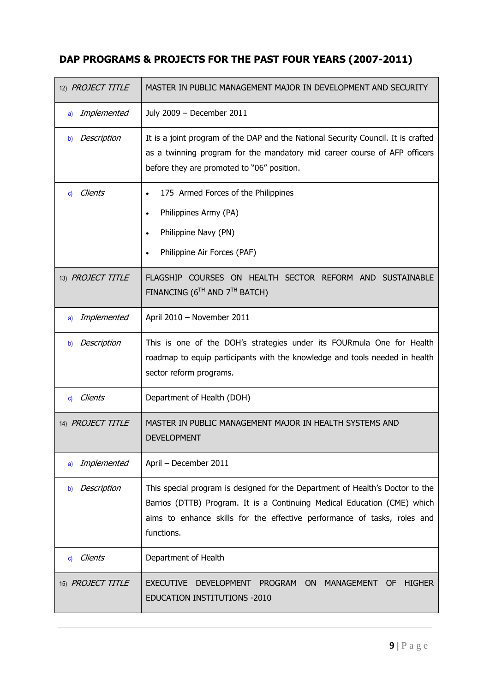| 12) PROJECT TITLE | MASTER IN PUBLIC MANAGEMENT MAJOR IN DEVELOPMENT AND SECURITY                                                                                                                                                                                       |
|-------------------|-----------------------------------------------------------------------------------------------------------------------------------------------------------------------------------------------------------------------------------------------------|
| Implemented<br>a) | July 2009 - December 2011                                                                                                                                                                                                                           |
| Description<br>b) | It is a joint program of the DAP and the National Security Council. It is crafted<br>as a twinning program for the mandatory mid career course of AFP officers<br>before they are promoted to "06" position.                                        |
| Clients<br>C)     | 175 Armed Forces of the Philippines<br>Philippines Army (PA)<br>Philippine Navy (PN)<br>Philippine Air Forces (PAF)                                                                                                                                 |
| 13) PROJECT TITLE | FLAGSHIP COURSES ON HEALTH SECTOR REFORM AND SUSTAINABLE<br>FINANCING ( $6^{TH}$ AND $7^{TH}$ BATCH)                                                                                                                                                |
| Implemented<br>a) | April 2010 - November 2011                                                                                                                                                                                                                          |
| Description<br>b) | This is one of the DOH's strategies under its FOURmula One for Health<br>roadmap to equip participants with the knowledge and tools needed in health<br>sector reform programs.                                                                     |
| Clients<br>C)     | Department of Health (DOH)                                                                                                                                                                                                                          |
| 14) PROJECT TITLE | MASTER IN PUBLIC MANAGEMENT MAJOR IN HEALTH SYSTEMS AND<br><b>DEVELOPMENT</b>                                                                                                                                                                       |
| Implemented<br>a) | April - December 2011                                                                                                                                                                                                                               |
| Description<br>b) | This special program is designed for the Department of Health's Doctor to the<br>Barrios (DTTB) Program. It is a Continuing Medical Education (CME) which<br>aims to enhance skills for the effective performance of tasks, roles and<br>functions. |
| Clients<br>C)     | Department of Health                                                                                                                                                                                                                                |
| 15) PROJECT TITLE | <b>EXECUTIVE</b><br><b>DEVELOPMENT</b><br>PROGRAM ON<br><b>OF</b><br><b>HIGHER</b><br>MANAGEMENT<br><b>EDUCATION INSTITUTIONS -2010</b>                                                                                                             |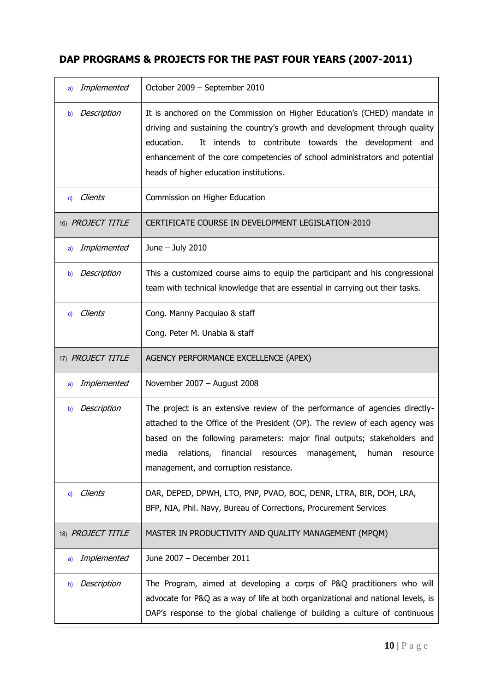| Implemented<br>a)       | October 2009 - September 2010                                                                                                                                                                                                                                                                                                                                         |
|-------------------------|-----------------------------------------------------------------------------------------------------------------------------------------------------------------------------------------------------------------------------------------------------------------------------------------------------------------------------------------------------------------------|
| Description<br>b)       | It is anchored on the Commission on Higher Education's (CHED) mandate in<br>driving and sustaining the country's growth and development through quality<br>education.<br>It intends to contribute towards the development and<br>enhancement of the core competencies of school administrators and potential<br>heads of higher education institutions.               |
| Clients<br>$\mathbf{c}$ | Commission on Higher Education                                                                                                                                                                                                                                                                                                                                        |
| 16) PROJECT TITLE       | CERTIFICATE COURSE IN DEVELOPMENT LEGISLATION-2010                                                                                                                                                                                                                                                                                                                    |
| Implemented<br>a)       | June - July 2010                                                                                                                                                                                                                                                                                                                                                      |
| Description<br>b)       | This a customized course aims to equip the participant and his congressional<br>team with technical knowledge that are essential in carrying out their tasks.                                                                                                                                                                                                         |
| Clients<br>C)           | Cong. Manny Pacquiao & staff                                                                                                                                                                                                                                                                                                                                          |
|                         | Cong. Peter M. Unabia & staff                                                                                                                                                                                                                                                                                                                                         |
| 17) PROJECT TITLE       | AGENCY PERFORMANCE EXCELLENCE (APEX)                                                                                                                                                                                                                                                                                                                                  |
| Implemented<br>a)       | November 2007 - August 2008                                                                                                                                                                                                                                                                                                                                           |
| Description<br>b)       | The project is an extensive review of the performance of agencies directly-<br>attached to the Office of the President (OP). The review of each agency was<br>based on the following parameters: major final outputs; stakeholders and<br>media<br>relations,<br>financial<br>management,<br>human<br>resources<br>resource<br>management, and corruption resistance. |
| Clients<br>$\mathbf{c}$ | DAR, DEPED, DPWH, LTO, PNP, PVAO, BOC, DENR, LTRA, BIR, DOH, LRA,<br>BFP, NIA, Phil. Navy, Bureau of Corrections, Procurement Services                                                                                                                                                                                                                                |
| 18) PROJECT TITLE       | MASTER IN PRODUCTIVITY AND QUALITY MANAGEMENT (MPQM)                                                                                                                                                                                                                                                                                                                  |
| Implemented<br>a)       | June 2007 - December 2011                                                                                                                                                                                                                                                                                                                                             |
| Description<br>b)       | The Program, aimed at developing a corps of P&Q practitioners who will<br>advocate for P&Q as a way of life at both organizational and national levels, is<br>DAP's response to the global challenge of building a culture of continuous                                                                                                                              |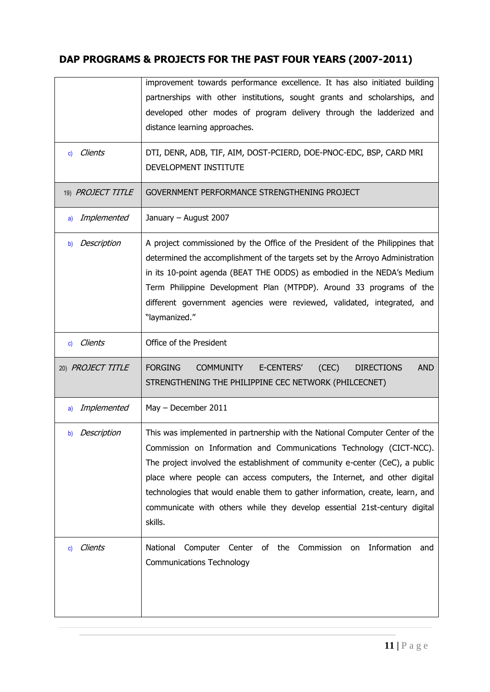|                   | improvement towards performance excellence. It has also initiated building                   |
|-------------------|----------------------------------------------------------------------------------------------|
|                   | partnerships with other institutions, sought grants and scholarships, and                    |
|                   | developed other modes of program delivery through the ladderized and                         |
|                   | distance learning approaches.                                                                |
|                   |                                                                                              |
| Clients<br>C)     | DTI, DENR, ADB, TIF, AIM, DOST-PCIERD, DOE-PNOC-EDC, BSP, CARD MRI                           |
|                   | DEVELOPMENT INSTITUTE                                                                        |
|                   |                                                                                              |
| 19) PROJECT TITLE | GOVERNMENT PERFORMANCE STRENGTHENING PROJECT                                                 |
| Implemented<br>a) | January - August 2007                                                                        |
| Description<br>b) | A project commissioned by the Office of the President of the Philippines that                |
|                   | determined the accomplishment of the targets set by the Arroyo Administration                |
|                   | in its 10-point agenda (BEAT THE ODDS) as embodied in the NEDA's Medium                      |
|                   | Term Philippine Development Plan (MTPDP). Around 33 programs of the                          |
|                   | different government agencies were reviewed, validated, integrated, and                      |
|                   | "laymanized."                                                                                |
|                   |                                                                                              |
| c) Clients        | Office of the President                                                                      |
| 20) PROJECT TITLE | <b>FORGING</b><br>E-CENTERS'<br>(CEC)<br><b>AND</b><br><b>COMMUNITY</b><br><b>DIRECTIONS</b> |
|                   | STRENGTHENING THE PHILIPPINE CEC NETWORK (PHILCECNET)                                        |
|                   |                                                                                              |
| Implemented<br>a) | May - December 2011                                                                          |
| Description<br>b) | This was implemented in partnership with the National Computer Center of the                 |
|                   | Commission on Information and Communications Technology (CICT-NCC).                          |
|                   | The project involved the establishment of community e-center (CeC), a public                 |
|                   | place where people can access computers, the Internet, and other digital                     |
|                   | technologies that would enable them to gather information, create, learn, and                |
|                   | communicate with others while they develop essential 21st-century digital                    |
|                   | skills.                                                                                      |
|                   |                                                                                              |
| Clients<br>C)     | Computer Center of the Commission<br>Information<br>National<br>on<br>and                    |
|                   | <b>Communications Technology</b>                                                             |
|                   |                                                                                              |
|                   |                                                                                              |
|                   |                                                                                              |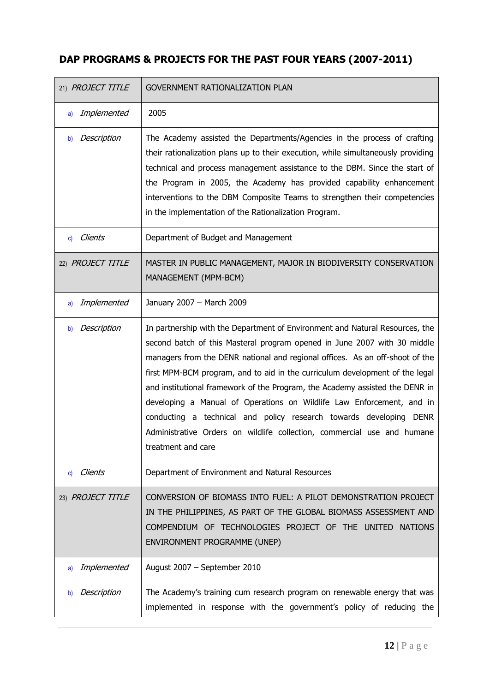| 21) PROJECT TITLE | <b>GOVERNMENT RATIONALIZATION PLAN</b>                                                                                                                                                                                                                                                                                                                                                                                                                                                                                                                                                                                                                   |
|-------------------|----------------------------------------------------------------------------------------------------------------------------------------------------------------------------------------------------------------------------------------------------------------------------------------------------------------------------------------------------------------------------------------------------------------------------------------------------------------------------------------------------------------------------------------------------------------------------------------------------------------------------------------------------------|
| Implemented<br>a) | 2005                                                                                                                                                                                                                                                                                                                                                                                                                                                                                                                                                                                                                                                     |
| Description<br>b) | The Academy assisted the Departments/Agencies in the process of crafting<br>their rationalization plans up to their execution, while simultaneously providing<br>technical and process management assistance to the DBM. Since the start of<br>the Program in 2005, the Academy has provided capability enhancement<br>interventions to the DBM Composite Teams to strengthen their competencies<br>in the implementation of the Rationalization Program.                                                                                                                                                                                                |
| c) Clients        | Department of Budget and Management                                                                                                                                                                                                                                                                                                                                                                                                                                                                                                                                                                                                                      |
| 22) PROJECT TITLE | MASTER IN PUBLIC MANAGEMENT, MAJOR IN BIODIVERSITY CONSERVATION<br>MANAGEMENT (MPM-BCM)                                                                                                                                                                                                                                                                                                                                                                                                                                                                                                                                                                  |
| Implemented<br>a) | January 2007 - March 2009                                                                                                                                                                                                                                                                                                                                                                                                                                                                                                                                                                                                                                |
| Description<br>b) | In partnership with the Department of Environment and Natural Resources, the<br>second batch of this Masteral program opened in June 2007 with 30 middle<br>managers from the DENR national and regional offices. As an off-shoot of the<br>first MPM-BCM program, and to aid in the curriculum development of the legal<br>and institutional framework of the Program, the Academy assisted the DENR in<br>developing a Manual of Operations on Wildlife Law Enforcement, and in<br>conducting a technical and policy research towards developing DENR<br>Administrative Orders on wildlife collection, commercial use and humane<br>treatment and care |
| Clients<br>C)     | Department of Environment and Natural Resources                                                                                                                                                                                                                                                                                                                                                                                                                                                                                                                                                                                                          |
| 23) PROJECT TITLE | CONVERSION OF BIOMASS INTO FUEL: A PILOT DEMONSTRATION PROJECT<br>IN THE PHILIPPINES, AS PART OF THE GLOBAL BIOMASS ASSESSMENT AND<br>COMPENDIUM OF TECHNOLOGIES PROJECT OF THE UNITED NATIONS<br>ENVIRONMENT PROGRAMME (UNEP)                                                                                                                                                                                                                                                                                                                                                                                                                           |
| Implemented<br>a) | August 2007 - September 2010                                                                                                                                                                                                                                                                                                                                                                                                                                                                                                                                                                                                                             |
| Description<br>b) | The Academy's training cum research program on renewable energy that was<br>implemented in response with the government's policy of reducing the                                                                                                                                                                                                                                                                                                                                                                                                                                                                                                         |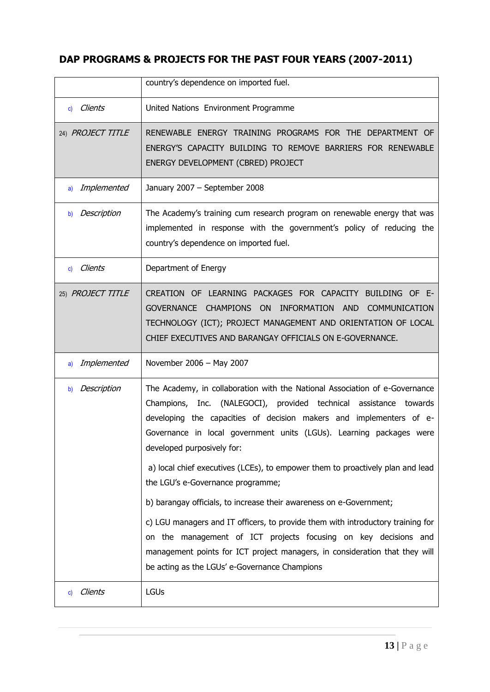|                         | country's dependence on imported fuel.                                                                                                                                                                                                                                                                                                                                                                                                                                                                                                                                                                                                                                                                                                                                                                           |
|-------------------------|------------------------------------------------------------------------------------------------------------------------------------------------------------------------------------------------------------------------------------------------------------------------------------------------------------------------------------------------------------------------------------------------------------------------------------------------------------------------------------------------------------------------------------------------------------------------------------------------------------------------------------------------------------------------------------------------------------------------------------------------------------------------------------------------------------------|
| Clients<br>c)           | United Nations Environment Programme                                                                                                                                                                                                                                                                                                                                                                                                                                                                                                                                                                                                                                                                                                                                                                             |
| 24) PROJECT TITLE       | RENEWABLE ENERGY TRAINING PROGRAMS FOR THE DEPARTMENT OF<br>ENERGY'S CAPACITY BUILDING TO REMOVE BARRIERS FOR RENEWABLE<br>ENERGY DEVELOPMENT (CBRED) PROJECT                                                                                                                                                                                                                                                                                                                                                                                                                                                                                                                                                                                                                                                    |
| Implemented<br>a)       | January 2007 - September 2008                                                                                                                                                                                                                                                                                                                                                                                                                                                                                                                                                                                                                                                                                                                                                                                    |
| Description<br>b)       | The Academy's training cum research program on renewable energy that was<br>implemented in response with the government's policy of reducing the<br>country's dependence on imported fuel.                                                                                                                                                                                                                                                                                                                                                                                                                                                                                                                                                                                                                       |
| Clients<br>$\mathbf{c}$ | Department of Energy                                                                                                                                                                                                                                                                                                                                                                                                                                                                                                                                                                                                                                                                                                                                                                                             |
| 25) PROJECT TITLE       | CREATION OF LEARNING PACKAGES FOR CAPACITY BUILDING OF E-<br>GOVERNANCE CHAMPIONS ON<br>INFORMATION<br><b>COMMUNICATION</b><br>AND<br>TECHNOLOGY (ICT); PROJECT MANAGEMENT AND ORIENTATION OF LOCAL<br>CHIEF EXECUTIVES AND BARANGAY OFFICIALS ON E-GOVERNANCE.                                                                                                                                                                                                                                                                                                                                                                                                                                                                                                                                                  |
| Implemented<br>a)       | November 2006 - May 2007                                                                                                                                                                                                                                                                                                                                                                                                                                                                                                                                                                                                                                                                                                                                                                                         |
| Description<br>b)       | The Academy, in collaboration with the National Association of e-Governance<br>Champions, Inc. (NALEGOCI), provided technical assistance towards<br>developing the capacities of decision makers and implementers of e-<br>Governance in local government units (LGUs). Learning packages were<br>developed purposively for:<br>a) local chief executives (LCEs), to empower them to proactively plan and lead<br>the LGU's e-Governance programme;<br>b) barangay officials, to increase their awareness on e-Government;<br>c) LGU managers and IT officers, to provide them with introductory training for<br>on the management of ICT projects focusing on key decisions and<br>management points for ICT project managers, in consideration that they will<br>be acting as the LGUs' e-Governance Champions |
| Clients<br>C)           | <b>LGUs</b>                                                                                                                                                                                                                                                                                                                                                                                                                                                                                                                                                                                                                                                                                                                                                                                                      |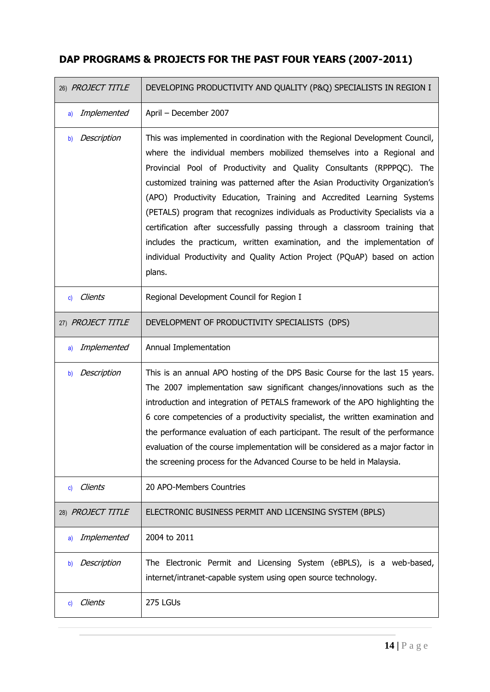| 26) PROJECT TITLE       | DEVELOPING PRODUCTIVITY AND QUALITY (P&Q) SPECIALISTS IN REGION I                                                                                                                                                                                                                                                                                                                                                                                                                                                                                                                                                                                                                                                          |
|-------------------------|----------------------------------------------------------------------------------------------------------------------------------------------------------------------------------------------------------------------------------------------------------------------------------------------------------------------------------------------------------------------------------------------------------------------------------------------------------------------------------------------------------------------------------------------------------------------------------------------------------------------------------------------------------------------------------------------------------------------------|
| Implemented<br>a)       | April - December 2007                                                                                                                                                                                                                                                                                                                                                                                                                                                                                                                                                                                                                                                                                                      |
| Description<br>b)       | This was implemented in coordination with the Regional Development Council,<br>where the individual members mobilized themselves into a Regional and<br>Provincial Pool of Productivity and Quality Consultants (RPPPQC). The<br>customized training was patterned after the Asian Productivity Organization's<br>(APO) Productivity Education, Training and Accredited Learning Systems<br>(PETALS) program that recognizes individuals as Productivity Specialists via a<br>certification after successfully passing through a classroom training that<br>includes the practicum, written examination, and the implementation of<br>individual Productivity and Quality Action Project (PQuAP) based on action<br>plans. |
| Clients<br>c)           | Regional Development Council for Region I                                                                                                                                                                                                                                                                                                                                                                                                                                                                                                                                                                                                                                                                                  |
| 27) PROJECT TITLE       | DEVELOPMENT OF PRODUCTIVITY SPECIALISTS (DPS)                                                                                                                                                                                                                                                                                                                                                                                                                                                                                                                                                                                                                                                                              |
| Implemented<br>a)       | Annual Implementation                                                                                                                                                                                                                                                                                                                                                                                                                                                                                                                                                                                                                                                                                                      |
| Description<br>b)       | This is an annual APO hosting of the DPS Basic Course for the last 15 years.<br>The 2007 implementation saw significant changes/innovations such as the<br>introduction and integration of PETALS framework of the APO highlighting the<br>6 core competencies of a productivity specialist, the written examination and<br>the performance evaluation of each participant. The result of the performance<br>evaluation of the course implementation will be considered as a major factor in<br>the screening process for the Advanced Course to be held in Malaysia.                                                                                                                                                      |
| Clients<br>$\mathbf{c}$ | 20 APO-Members Countries                                                                                                                                                                                                                                                                                                                                                                                                                                                                                                                                                                                                                                                                                                   |
| 28) PROJECT TITLE       | ELECTRONIC BUSINESS PERMIT AND LICENSING SYSTEM (BPLS)                                                                                                                                                                                                                                                                                                                                                                                                                                                                                                                                                                                                                                                                     |
| Implemented<br>a)       | 2004 to 2011                                                                                                                                                                                                                                                                                                                                                                                                                                                                                                                                                                                                                                                                                                               |
| Description<br>b)       | The Electronic Permit and Licensing System (eBPLS), is a web-based,<br>internet/intranet-capable system using open source technology.                                                                                                                                                                                                                                                                                                                                                                                                                                                                                                                                                                                      |
| Clients<br>$\mathbf{c}$ | 275 LGUs                                                                                                                                                                                                                                                                                                                                                                                                                                                                                                                                                                                                                                                                                                                   |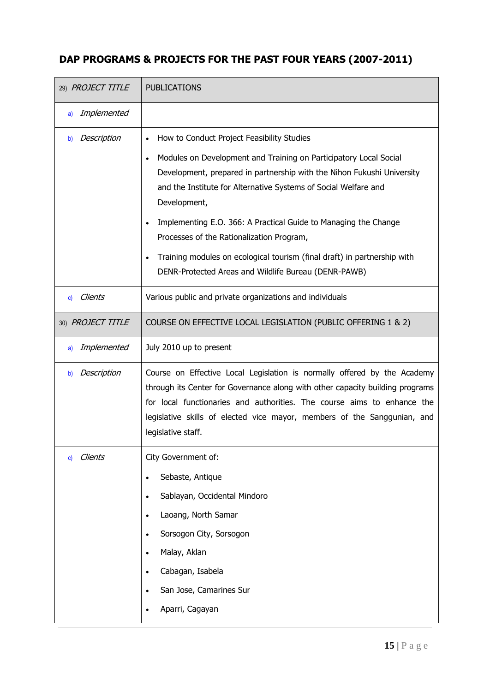| 29) PROJECT TITLE    | <b>PUBLICATIONS</b>                                                                                                                                                                                                                                                                                                                                                                                                                                                                                                                           |
|----------------------|-----------------------------------------------------------------------------------------------------------------------------------------------------------------------------------------------------------------------------------------------------------------------------------------------------------------------------------------------------------------------------------------------------------------------------------------------------------------------------------------------------------------------------------------------|
| Implemented<br>a)    |                                                                                                                                                                                                                                                                                                                                                                                                                                                                                                                                               |
| Description<br>b)    | How to Conduct Project Feasibility Studies<br>Modules on Development and Training on Participatory Local Social<br>$\bullet$<br>Development, prepared in partnership with the Nihon Fukushi University<br>and the Institute for Alternative Systems of Social Welfare and<br>Development,<br>Implementing E.O. 366: A Practical Guide to Managing the Change<br>Processes of the Rationalization Program,<br>Training modules on ecological tourism (final draft) in partnership with<br>DENR-Protected Areas and Wildlife Bureau (DENR-PAWB) |
| <b>Clients</b><br>C) | Various public and private organizations and individuals                                                                                                                                                                                                                                                                                                                                                                                                                                                                                      |
| 30) PROJECT TITLE    | COURSE ON EFFECTIVE LOCAL LEGISLATION (PUBLIC OFFERING 1 & 2)                                                                                                                                                                                                                                                                                                                                                                                                                                                                                 |
| Implemented<br>a)    | July 2010 up to present                                                                                                                                                                                                                                                                                                                                                                                                                                                                                                                       |
| Description<br>b)    | Course on Effective Local Legislation is normally offered by the Academy<br>through its Center for Governance along with other capacity building programs<br>for local functionaries and authorities. The course aims to enhance the<br>legislative skills of elected vice mayor, members of the Sanggunian, and<br>legislative staff.                                                                                                                                                                                                        |
| <b>Clients</b><br>C) | City Government of:<br>Sebaste, Antique<br>$\bullet$<br>Sablayan, Occidental Mindoro<br>$\bullet$<br>Laoang, North Samar<br>Sorsogon City, Sorsogon<br>Malay, Aklan<br>$\bullet$<br>Cabagan, Isabela<br>$\bullet$<br>San Jose, Camarines Sur<br>Aparri, Cagayan                                                                                                                                                                                                                                                                               |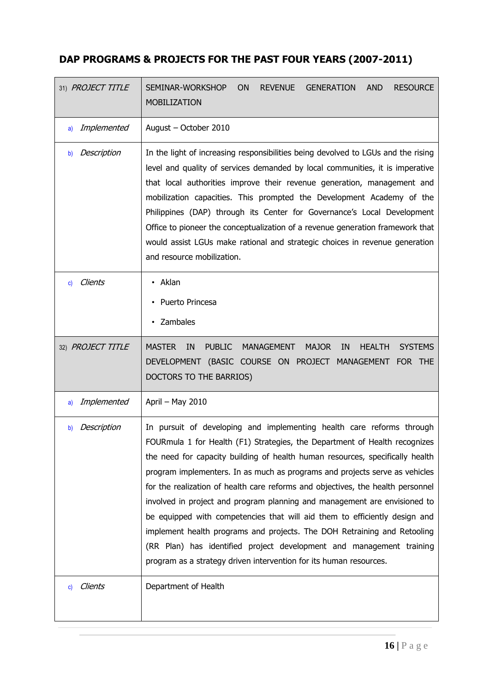| 31) PROJECT TITLE | <b>AND</b><br>SEMINAR-WORKSHOP<br><b>ON</b><br><b>REVENUE</b><br><b>GENERATION</b><br><b>RESOURCE</b><br><b>MOBILIZATION</b>                                                                                                                                                                                                                                                                                                                                                                                                                                                                                                                                                                                                                                                                |
|-------------------|---------------------------------------------------------------------------------------------------------------------------------------------------------------------------------------------------------------------------------------------------------------------------------------------------------------------------------------------------------------------------------------------------------------------------------------------------------------------------------------------------------------------------------------------------------------------------------------------------------------------------------------------------------------------------------------------------------------------------------------------------------------------------------------------|
| Implemented<br>a) | August - October 2010                                                                                                                                                                                                                                                                                                                                                                                                                                                                                                                                                                                                                                                                                                                                                                       |
| Description<br>b) | In the light of increasing responsibilities being devolved to LGUs and the rising<br>level and quality of services demanded by local communities, it is imperative<br>that local authorities improve their revenue generation, management and<br>mobilization capacities. This prompted the Development Academy of the<br>Philippines (DAP) through its Center for Governance's Local Development<br>Office to pioneer the conceptualization of a revenue generation framework that<br>would assist LGUs make rational and strategic choices in revenue generation<br>and resource mobilization.                                                                                                                                                                                            |
| Clients<br>C)     | • Aklan<br>Puerto Princesa<br>Zambales<br>$\bullet$                                                                                                                                                                                                                                                                                                                                                                                                                                                                                                                                                                                                                                                                                                                                         |
| 32) PROJECT TITLE | <b>MASTER</b><br>IN<br><b>PUBLIC</b><br><b>MANAGEMENT</b><br><b>MAJOR</b><br>IN<br><b>HEALTH</b><br><b>SYSTEMS</b><br>DEVELOPMENT (BASIC COURSE ON PROJECT MANAGEMENT FOR THE<br>DOCTORS TO THE BARRIOS)                                                                                                                                                                                                                                                                                                                                                                                                                                                                                                                                                                                    |
| Implemented<br>a) | April - May 2010                                                                                                                                                                                                                                                                                                                                                                                                                                                                                                                                                                                                                                                                                                                                                                            |
| Description<br>b) | In pursuit of developing and implementing health care reforms through<br>FOURmula 1 for Health (F1) Strategies, the Department of Health recognizes<br>the need for capacity building of health human resources, specifically health<br>program implementers. In as much as programs and projects serve as vehicles<br>for the realization of health care reforms and objectives, the health personnel<br>involved in project and program planning and management are envisioned to<br>be equipped with competencies that will aid them to efficiently design and<br>implement health programs and projects. The DOH Retraining and Retooling<br>(RR Plan) has identified project development and management training<br>program as a strategy driven intervention for its human resources. |
| Clients<br>C)     | Department of Health                                                                                                                                                                                                                                                                                                                                                                                                                                                                                                                                                                                                                                                                                                                                                                        |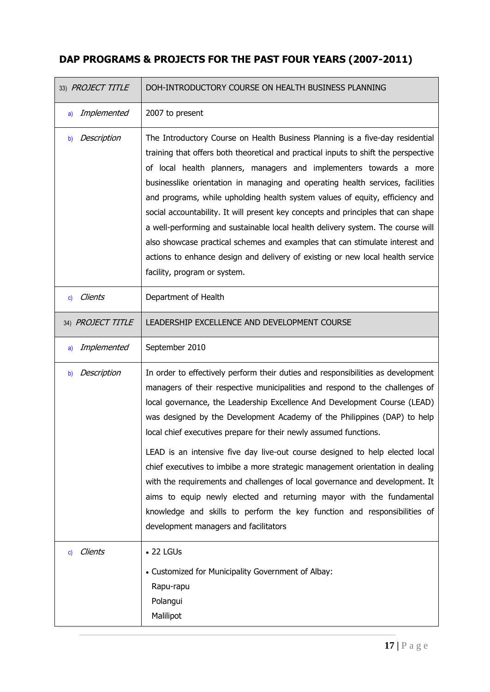| 33) PROJECT TITLE | DOH-INTRODUCTORY COURSE ON HEALTH BUSINESS PLANNING                                                                                                                                                                                                                                                                                                                                                                                                                                                                                                                                                                                                                                                                                                                                                                                          |
|-------------------|----------------------------------------------------------------------------------------------------------------------------------------------------------------------------------------------------------------------------------------------------------------------------------------------------------------------------------------------------------------------------------------------------------------------------------------------------------------------------------------------------------------------------------------------------------------------------------------------------------------------------------------------------------------------------------------------------------------------------------------------------------------------------------------------------------------------------------------------|
| Implemented<br>a) | 2007 to present                                                                                                                                                                                                                                                                                                                                                                                                                                                                                                                                                                                                                                                                                                                                                                                                                              |
| Description<br>b) | The Introductory Course on Health Business Planning is a five-day residential<br>training that offers both theoretical and practical inputs to shift the perspective<br>of local health planners, managers and implementers towards a more<br>businesslike orientation in managing and operating health services, facilities<br>and programs, while upholding health system values of equity, efficiency and<br>social accountability. It will present key concepts and principles that can shape<br>a well-performing and sustainable local health delivery system. The course will<br>also showcase practical schemes and examples that can stimulate interest and<br>actions to enhance design and delivery of existing or new local health service<br>facility, program or system.                                                       |
| Clients<br>C)     | Department of Health                                                                                                                                                                                                                                                                                                                                                                                                                                                                                                                                                                                                                                                                                                                                                                                                                         |
| 34) PROJECT TITLE | LEADERSHIP EXCELLENCE AND DEVELOPMENT COURSE                                                                                                                                                                                                                                                                                                                                                                                                                                                                                                                                                                                                                                                                                                                                                                                                 |
| Implemented<br>a) | September 2010                                                                                                                                                                                                                                                                                                                                                                                                                                                                                                                                                                                                                                                                                                                                                                                                                               |
| Description<br>b) | In order to effectively perform their duties and responsibilities as development<br>managers of their respective municipalities and respond to the challenges of<br>local governance, the Leadership Excellence And Development Course (LEAD)<br>was designed by the Development Academy of the Philippines (DAP) to help<br>local chief executives prepare for their newly assumed functions.<br>LEAD is an intensive five day live-out course designed to help elected local<br>chief executives to imbibe a more strategic management orientation in dealing<br>with the requirements and challenges of local governance and development. It<br>aims to equip newly elected and returning mayor with the fundamental<br>knowledge and skills to perform the key function and responsibilities of<br>development managers and facilitators |
| Clients<br>C)     | $\bullet$ 22 LGUs<br>• Customized for Municipality Government of Albay:<br>Rapu-rapu<br>Polangui<br>Malilipot                                                                                                                                                                                                                                                                                                                                                                                                                                                                                                                                                                                                                                                                                                                                |